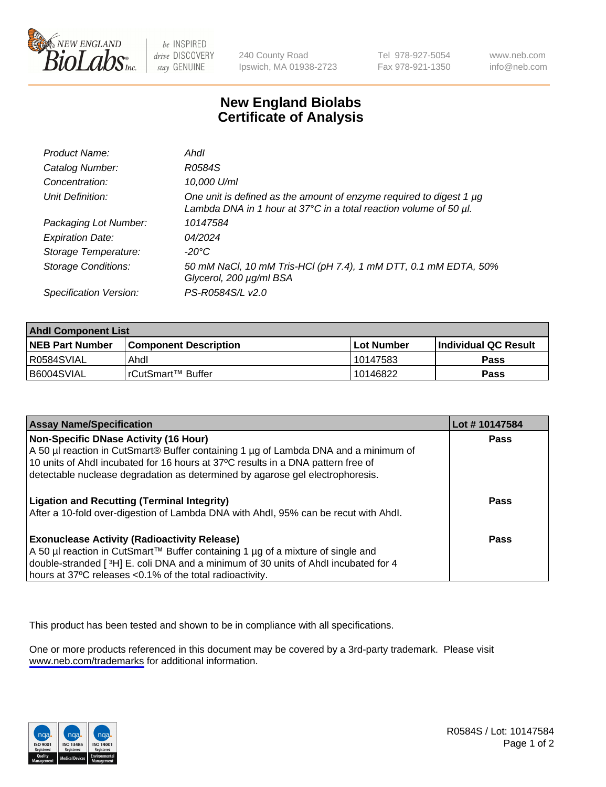

be INSPIRED drive DISCOVERY stay GENUINE

240 County Road Ipswich, MA 01938-2723 Tel 978-927-5054 Fax 978-921-1350

www.neb.com info@neb.com

## **New England Biolabs Certificate of Analysis**

| Product Name:              | Ahdl                                                                                                                                     |
|----------------------------|------------------------------------------------------------------------------------------------------------------------------------------|
| Catalog Number:            | R0584S                                                                                                                                   |
| Concentration:             | 10,000 U/ml                                                                                                                              |
| Unit Definition:           | One unit is defined as the amount of enzyme required to digest 1 µg<br>Lambda DNA in 1 hour at 37°C in a total reaction volume of 50 µl. |
| Packaging Lot Number:      | 10147584                                                                                                                                 |
| <b>Expiration Date:</b>    | 04/2024                                                                                                                                  |
| Storage Temperature:       | -20°C                                                                                                                                    |
| <b>Storage Conditions:</b> | 50 mM NaCl, 10 mM Tris-HCl (pH 7.4), 1 mM DTT, 0.1 mM EDTA, 50%<br>Glycerol, 200 µg/ml BSA                                               |
| Specification Version:     | PS-R0584S/L v2.0                                                                                                                         |

| <b>Ahdl Component List</b> |                         |              |                             |  |  |
|----------------------------|-------------------------|--------------|-----------------------------|--|--|
| <b>NEB Part Number</b>     | l Component Description | l Lot Number | <b>Individual QC Result</b> |  |  |
| R0584SVIAL                 | Ahdl                    | 10147583     | Pass                        |  |  |
| B6004SVIAL                 | l rCutSmart™ Buffer     | 10146822     | Pass                        |  |  |

| <b>Assay Name/Specification</b>                                                     | Lot #10147584 |
|-------------------------------------------------------------------------------------|---------------|
| <b>Non-Specific DNase Activity (16 Hour)</b>                                        | <b>Pass</b>   |
| A 50 µl reaction in CutSmart® Buffer containing 1 µg of Lambda DNA and a minimum of |               |
| 10 units of Ahdl incubated for 16 hours at 37°C results in a DNA pattern free of    |               |
| detectable nuclease degradation as determined by agarose gel electrophoresis.       |               |
|                                                                                     |               |
| <b>Ligation and Recutting (Terminal Integrity)</b>                                  | Pass          |
| After a 10-fold over-digestion of Lambda DNA with Ahdl, 95% can be recut with Ahdl. |               |
|                                                                                     | Pass          |
| <b>Exonuclease Activity (Radioactivity Release)</b>                                 |               |
| A 50 µl reaction in CutSmart™ Buffer containing 1 µg of a mixture of single and     |               |
| double-stranded [3H] E. coli DNA and a minimum of 30 units of Ahdl incubated for 4  |               |
| hours at 37°C releases <0.1% of the total radioactivity.                            |               |

This product has been tested and shown to be in compliance with all specifications.

One or more products referenced in this document may be covered by a 3rd-party trademark. Please visit <www.neb.com/trademarks>for additional information.